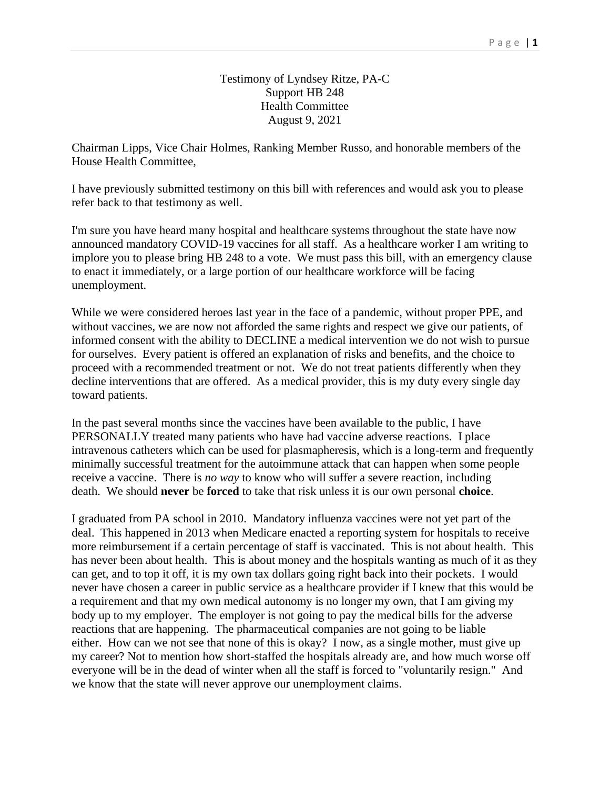## Testimony of Lyndsey Ritze, PA-C Support HB 248 Health Committee August 9, 2021

Chairman Lipps, Vice Chair Holmes, Ranking Member Russo, and honorable members of the House Health Committee,

I have previously submitted testimony on this bill with references and would ask you to please refer back to that testimony as well.

I'm sure you have heard many hospital and healthcare systems throughout the state have now announced mandatory COVID-19 vaccines for all staff. As a healthcare worker I am writing to implore you to please bring HB 248 to a vote. We must pass this bill, with an emergency clause to enact it immediately, or a large portion of our healthcare workforce will be facing unemployment.

While we were considered heroes last year in the face of a pandemic, without proper PPE, and without vaccines, we are now not afforded the same rights and respect we give our patients, of informed consent with the ability to DECLINE a medical intervention we do not wish to pursue for ourselves. Every patient is offered an explanation of risks and benefits, and the choice to proceed with a recommended treatment or not. We do not treat patients differently when they decline interventions that are offered. As a medical provider, this is my duty every single day toward patients.

In the past several months since the vaccines have been available to the public, I have PERSONALLY treated many patients who have had vaccine adverse reactions. I place intravenous catheters which can be used for plasmapheresis, which is a long-term and frequently minimally successful treatment for the autoimmune attack that can happen when some people receive a vaccine. There is *no way* to know who will suffer a severe reaction, including death. We should **never** be **forced** to take that risk unless it is our own personal **choice**.

I graduated from PA school in 2010. Mandatory influenza vaccines were not yet part of the deal. This happened in 2013 when Medicare enacted a reporting system for hospitals to receive more reimbursement if a certain percentage of staff is vaccinated. This is not about health. This has never been about health. This is about money and the hospitals wanting as much of it as they can get, and to top it off, it is my own tax dollars going right back into their pockets. I would never have chosen a career in public service as a healthcare provider if I knew that this would be a requirement and that my own medical autonomy is no longer my own, that I am giving my body up to my employer. The employer is not going to pay the medical bills for the adverse reactions that are happening. The pharmaceutical companies are not going to be liable either. How can we not see that none of this is okay? I now, as a single mother, must give up my career? Not to mention how short-staffed the hospitals already are, and how much worse off everyone will be in the dead of winter when all the staff is forced to "voluntarily resign." And we know that the state will never approve our unemployment claims.